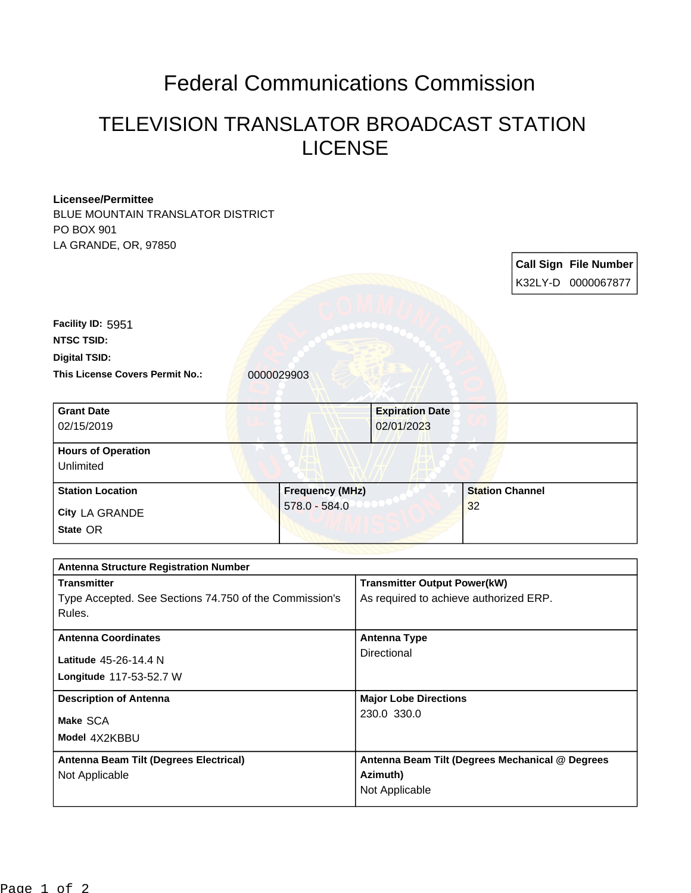## Federal Communications Commission

## TELEVISION TRANSLATOR BROADCAST STATION LICENSE

| <b>Licensee/Permittee</b>                              |                 |                                                 |  |                        |                              |
|--------------------------------------------------------|-----------------|-------------------------------------------------|--|------------------------|------------------------------|
| BLUE MOUNTAIN TRANSLATOR DISTRICT                      |                 |                                                 |  |                        |                              |
| PO BOX 901                                             |                 |                                                 |  |                        |                              |
| LA GRANDE, OR, 97850                                   |                 |                                                 |  |                        |                              |
|                                                        |                 |                                                 |  |                        | <b>Call Sign File Number</b> |
|                                                        |                 |                                                 |  |                        | K32LY-D 0000067877           |
|                                                        |                 |                                                 |  |                        |                              |
|                                                        |                 |                                                 |  |                        |                              |
| Facility ID: 5951                                      |                 |                                                 |  |                        |                              |
| <b>NTSC TSID:</b>                                      |                 |                                                 |  |                        |                              |
| <b>Digital TSID:</b>                                   |                 |                                                 |  |                        |                              |
| This License Covers Permit No.:                        | 0000029903      |                                                 |  |                        |                              |
|                                                        |                 |                                                 |  |                        |                              |
| <b>Grant Date</b>                                      |                 | <b>Expiration Date</b>                          |  |                        |                              |
| 02/15/2019                                             |                 | 02/01/2023                                      |  |                        |                              |
|                                                        |                 |                                                 |  |                        |                              |
| <b>Hours of Operation</b>                              |                 |                                                 |  |                        |                              |
| Unlimited                                              |                 |                                                 |  |                        |                              |
| <b>Station Location</b>                                |                 | <b>Frequency (MHz)</b>                          |  | <b>Station Channel</b> |                              |
| City LA GRANDE                                         | $578.0 - 584.0$ | 32                                              |  |                        |                              |
| State OR                                               |                 |                                                 |  |                        |                              |
|                                                        |                 |                                                 |  |                        |                              |
|                                                        |                 |                                                 |  |                        |                              |
| <b>Antenna Structure Registration Number</b>           |                 |                                                 |  |                        |                              |
| <b>Transmitter</b>                                     |                 | <b>Transmitter Output Power(kW)</b>             |  |                        |                              |
| Type Accepted. See Sections 74.750 of the Commission's |                 | As required to achieve authorized ERP.          |  |                        |                              |
| Rules.                                                 |                 |                                                 |  |                        |                              |
| <b>Antenna Coordinates</b>                             |                 | <b>Antenna Type</b>                             |  |                        |                              |
| Latitude 45-26-14.4 N                                  |                 | Directional                                     |  |                        |                              |
|                                                        |                 |                                                 |  |                        |                              |
| Longitude 117-53-52.7 W                                |                 |                                                 |  |                        |                              |
| <b>Description of Antenna</b>                          |                 | <b>Major Lobe Directions</b>                    |  |                        |                              |
| Make SCA                                               |                 | 230.0 330.0                                     |  |                        |                              |
| Model 4X2KBBU                                          |                 |                                                 |  |                        |                              |
|                                                        |                 |                                                 |  |                        |                              |
| Antenna Beam Tilt (Degrees Electrical)                 |                 | Antenna Beam Tilt (Degrees Mechanical @ Degrees |  |                        |                              |
| Not Applicable                                         |                 | Azimuth)<br>Not Applicable                      |  |                        |                              |
|                                                        |                 |                                                 |  |                        |                              |